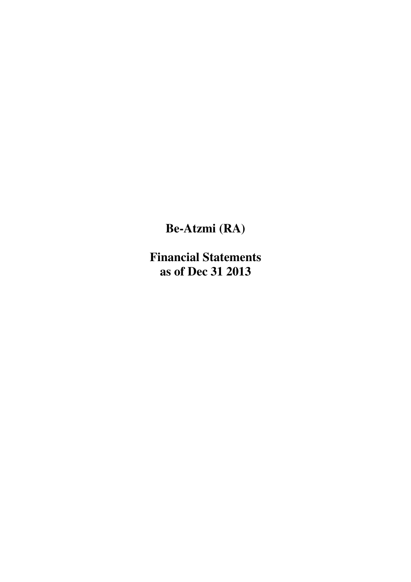**Be-Atzmi (RA)**

**Financial Statements as of Dec 31 2013**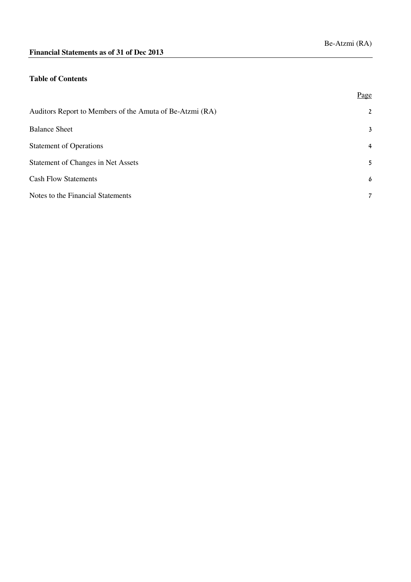## **Table of Contents**

|                                                          | Page           |
|----------------------------------------------------------|----------------|
| Auditors Report to Members of the Amuta of Be-Atzmi (RA) | $\overline{2}$ |
| <b>Balance Sheet</b>                                     | 3              |
| <b>Statement of Operations</b>                           | $\overline{4}$ |
| Statement of Changes in Net Assets                       | 5              |
| <b>Cash Flow Statements</b>                              | 6              |
| Notes to the Financial Statements                        | $\overline{7}$ |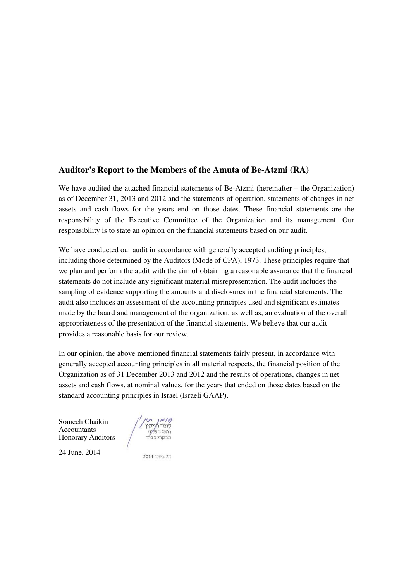# **Auditor's Report to the Members of the Amuta of Be-Atzmi (RA)**

We have audited the attached financial statements of Be-Atzmi (hereinafter – the Organization) as of December 31, 2013 and 2012 and the statements of operation, statements of changes in net assets and cash flows for the years end on those dates. These financial statements are the responsibility of the Executive Committee of the Organization and its management. Our responsibility is to state an opinion on the financial statements based on our audit.

We have conducted our audit in accordance with generally accepted auditing principles, including those determined by the Auditors (Mode of CPA), 1973. These principles require that we plan and perform the audit with the aim of obtaining a reasonable assurance that the financial statements do not include any significant material misrepresentation. The audit includes the sampling of evidence supporting the amounts and disclosures in the financial statements. The audit also includes an assessment of the accounting principles used and significant estimates made by the board and management of the organization, as well as, an evaluation of the overall appropriateness of the presentation of the financial statements. We believe that our audit provides a reasonable basis for our review.

In our opinion, the above mentioned financial statements fairly present, in accordance with generally accepted accounting principles in all material respects, the financial position of the Organization as of 31 December 2013 and 2012 and the results of operations, changes in net assets and cash flows, at nominal values, for the years that ended on those dates based on the standard accounting principles in Israel (Israeli GAAP).

Somech Chaikin Accountants Honorary Auditors

סומך תייקין<br>סומך תייקין<br>מבקרי כבוד

24 June, 2014

2014 ביוני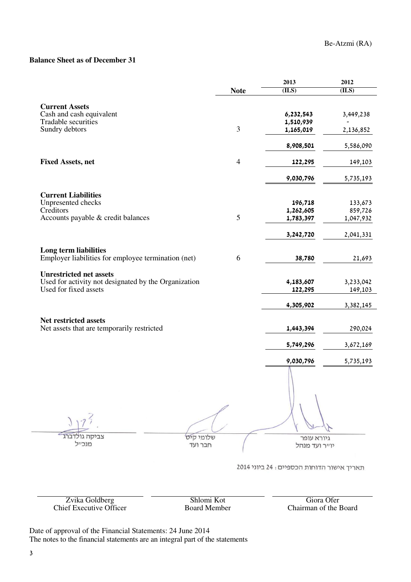## **Balance Sheet as of December 31**

|                                                      |                | 2013                                      | 2012      |
|------------------------------------------------------|----------------|-------------------------------------------|-----------|
|                                                      | <b>Note</b>    | (ILS)                                     | (ILS)     |
| <b>Current Assets</b>                                |                |                                           |           |
| Cash and cash equivalent                             |                | 6,232,543                                 | 3,449,238 |
| Tradable securities                                  |                | 1,510,939                                 |           |
| Sundry debtors                                       | 3              | 1,165,019                                 | 2,136,852 |
|                                                      |                | 8,908,501                                 | 5,586,090 |
| <b>Fixed Assets, net</b>                             | $\overline{4}$ | 122,295                                   | 149,103   |
|                                                      |                | 9,030,796                                 | 5,735,193 |
| <b>Current Liabilities</b>                           |                |                                           |           |
| Unpresented checks                                   |                | 196,718                                   | 133,673   |
| Creditors                                            |                | 1,262,605                                 | 859,726   |
| Accounts payable & credit balances                   | 5              | 1,783,397                                 | 1,047,932 |
|                                                      |                | 3,242,720                                 | 2,041,331 |
| Long term liabilities                                |                |                                           |           |
| Employer liabilities for employee termination (net)  | 6              | 38,780                                    | 21,693    |
| <b>Unrestricted net assets</b>                       |                |                                           |           |
| Used for activity not designated by the Organization |                | 4,183,607                                 | 3,233,042 |
| Used for fixed assets                                |                | 122,295                                   | 149,103   |
|                                                      |                | 4,305,902                                 | 3,382,145 |
| Net restricted assets                                |                |                                           |           |
| Net assets that are temporarily restricted           |                | 1,443,394                                 | 290,024   |
|                                                      |                | 5,749,296                                 | 3,672,169 |
|                                                      |                | 9,030,796                                 | 5,735,193 |
| צביקה גולדברג<br>שלומי קים                           |                |                                           |           |
| מנכייל<br>חבר ועד                                    |                | גיורא עופר<br>יוייר ועד מנהל              |           |
|                                                      |                | תאריך אישור הדוחות הכספיים: 24 ביוני 2014 |           |

Zvika Goldberg Shlomi Kot Giora Ofer

Chief Executive Officer Board Member Chairman of the Board

Date of approval of the Financial Statements: 24 June 2014 The notes to the financial statements are an integral part of the statements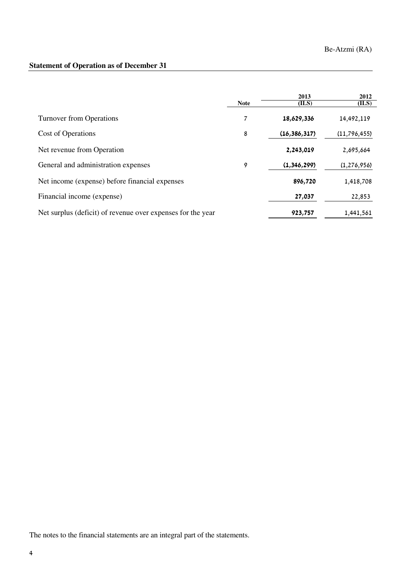# **Statement of Operation as of December 31**

|                                                             | <b>Note</b> | 2013<br>(ILS)  | 2012<br>(ILS) |
|-------------------------------------------------------------|-------------|----------------|---------------|
| <b>Turnover from Operations</b>                             | 7           | 18,629,336     | 14,492,119    |
| Cost of Operations                                          | 8           | (16, 386, 317) | (11,796,455)  |
| Net revenue from Operation                                  |             | 2,243,019      | 2,695,664     |
| General and administration expenses                         | 9           | (1, 346, 299)  | (1, 276, 956) |
| Net income (expense) before financial expenses              |             | 896,720        | 1,418,708     |
| Financial income (expense)                                  |             | 27,037         | 22,853        |
| Net surplus (deficit) of revenue over expenses for the year |             | 923,757        | 1,441,561     |

The notes to the financial statements are an integral part of the statements.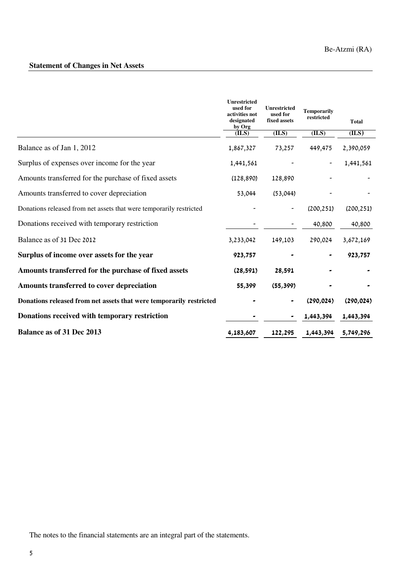# **Statement of Changes in Net Assets**

|                                                                     | <b>Unrestricted</b><br>used for<br>activities not<br>designated<br>by Org | <b>Unrestricted</b><br>used for<br>fixed assets | <b>Temporarily</b><br>restricted | <b>Total</b> |
|---------------------------------------------------------------------|---------------------------------------------------------------------------|-------------------------------------------------|----------------------------------|--------------|
|                                                                     | (ILS)                                                                     | (ILS)                                           | (ILS)                            | (ILS)        |
| Balance as of Jan 1, 2012                                           | 1,867,327                                                                 | 73,257                                          | 449,475                          | 2,390,059    |
| Surplus of expenses over income for the year                        | 1,441,561                                                                 |                                                 |                                  | 1,441,561    |
| Amounts transferred for the purchase of fixed assets                | (128, 890)                                                                | 128,890                                         |                                  |              |
| Amounts transferred to cover depreciation                           | 53,044                                                                    | (53,044)                                        |                                  |              |
| Donations released from net assets that were temporarily restricted |                                                                           |                                                 | (200, 251)                       | (200, 251)   |
| Donations received with temporary restriction                       |                                                                           |                                                 | 40,800                           | 40,800       |
| Balance as of 31 Dec 2012                                           | 3,233,042                                                                 | 149,103                                         | 290,024                          | 3,672,169    |
| Surplus of income over assets for the year                          | 923,757                                                                   |                                                 |                                  | 923,757      |
| Amounts transferred for the purchase of fixed assets                | (28, 591)                                                                 | 28,591                                          |                                  |              |
| Amounts transferred to cover depreciation                           | 55,399                                                                    | (55, 399)                                       |                                  |              |
| Donations released from net assets that were temporarily restricted |                                                                           |                                                 | (290, 024)                       | (290, 024)   |
| Donations received with temporary restriction                       |                                                                           |                                                 | 1,443,394                        | 1,443,394    |
| <b>Balance as of 31 Dec 2013</b>                                    | 4,183,607                                                                 | 122,295                                         | 1,443,394                        | 5,749,296    |

The notes to the financial statements are an integral part of the statements.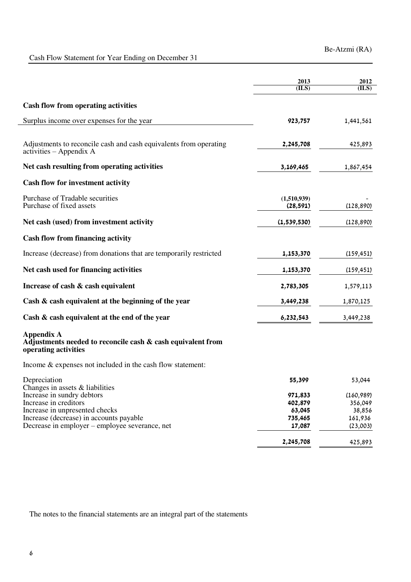# Cash Flow Statement for Year Ending on December 31

|                                                                                                          | 2013<br>(ILS)            | 2012<br>(ILS)         |
|----------------------------------------------------------------------------------------------------------|--------------------------|-----------------------|
| <b>Cash flow from operating activities</b>                                                               |                          |                       |
| Surplus income over expenses for the year                                                                | 923,757                  | 1,441,561             |
| Adjustments to reconcile cash and cash equivalents from operating<br>$activities - Appendix A$           | 2,245,708                | 425,893               |
| Net cash resulting from operating activities                                                             | 3,169,465                | 1,867,454             |
| <b>Cash flow for investment activity</b>                                                                 |                          |                       |
| Purchase of Tradable securities<br>Purchase of fixed assets                                              | (1,510,939)<br>(28, 591) | (128, 890)            |
| Net cash (used) from investment activity                                                                 | (1,539,530)              | (128, 890)            |
| <b>Cash flow from financing activity</b>                                                                 |                          |                       |
| Increase (decrease) from donations that are temporarily restricted                                       | 1,153,370                | (159, 451)            |
| Net cash used for financing activities                                                                   | 1,153,370                | (159, 451)            |
| Increase of cash & cash equivalent                                                                       | 2,783,305                | 1,579,113             |
| Cash & cash equivalent at the beginning of the year                                                      | 3,449,238                | 1,870,125             |
| Cash & cash equivalent at the end of the year                                                            | 6,232,543                | 3,449,238             |
| <b>Appendix A</b><br>Adjustments needed to reconcile cash & cash equivalent from<br>operating activities |                          |                       |
| Income $&$ expenses not included in the cash flow statement:                                             |                          |                       |
| Depreciation<br>Changes in assets $&$ liabilities                                                        | 55,399                   | 53,044                |
| Increase in sundry debtors<br>Increase in creditors                                                      | 971,833<br>402,879       | (160, 989)<br>356,049 |
| Increase in unpresented checks                                                                           | 63,045                   | 38,856                |
| Increase (decrease) in accounts payable                                                                  | 735,465                  | 161,936               |
| Decrease in employer – employee severance, net                                                           | 17,087                   | (23,003)              |
|                                                                                                          | 2,245,708                | 425,893               |

The notes to the financial statements are an integral part of the statements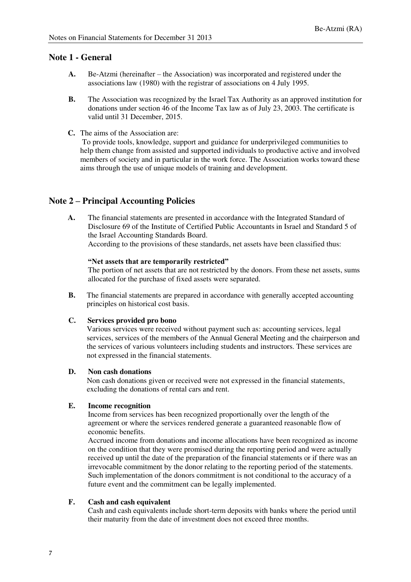## **Note 1 - General**

- **A.** Be-Atzmi (hereinafter the Association) was incorporated and registered under the associations law (1980) with the registrar of associations on 4 July 1995.
- **B.** The Association was recognized by the Israel Tax Authority as an approved institution for donations under section 46 of the Income Tax law as of July 23, 2003. The certificate is valid until 31 December, 2015.
- **C.** The aims of the Association are:

 To provide tools, knowledge, support and guidance for underprivileged communities to help them change from assisted and supported individuals to productive active and involved members of society and in particular in the work force. The Association works toward these aims through the use of unique models of training and development.

## **Note 2 – Principal Accounting Policies**

**A.** The financial statements are presented in accordance with the Integrated Standard of Disclosure 69 of the Institute of Certified Public Accountants in Israel and Standard 5 of the Israel Accounting Standards Board. According to the provisions of these standards, net assets have been classified thus:

#### **"Net assets that are temporarily restricted"**

The portion of net assets that are not restricted by the donors. From these net assets, sums allocated for the purchase of fixed assets were separated.

**B.** The financial statements are prepared in accordance with generally accepted accounting principles on historical cost basis.

### **C. Services provided pro bono**

Various services were received without payment such as: accounting services, legal services, services of the members of the Annual General Meeting and the chairperson and the services of various volunteers including students and instructors. These services are not expressed in the financial statements.

#### **D. Non cash donations**

 Non cash donations given or received were not expressed in the financial statements, excluding the donations of rental cars and rent.

### **E. Income recognition**

Income from services has been recognized proportionally over the length of the agreement or where the services rendered generate a guaranteed reasonable flow of economic benefits.

Accrued income from donations and income allocations have been recognized as income on the condition that they were promised during the reporting period and were actually received up until the date of the preparation of the financial statements or if there was an irrevocable commitment by the donor relating to the reporting period of the statements. Such implementation of the donors commitment is not conditional to the accuracy of a future event and the commitment can be legally implemented.

### **F. Cash and cash equivalent**

Cash and cash equivalents include short-term deposits with banks where the period until their maturity from the date of investment does not exceed three months.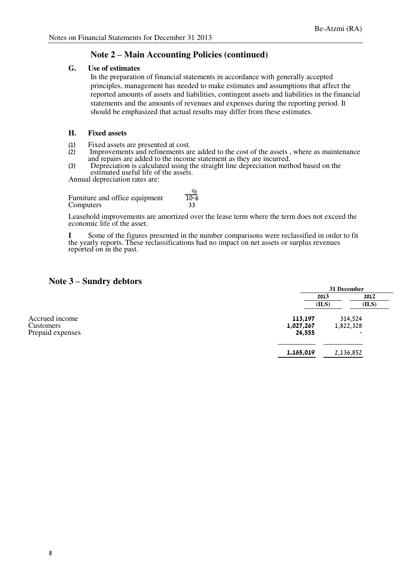## **Note 2 – Main Accounting Policies (continued)**

#### **G. Use of estimates**

In the preparation of financial statements in accordance with generally accepted principles, management has needed to make estimates and assumptions that affect the reported amounts of assets and liabilities, contingent assets and liabilities in the financial statements and the amounts of revenues and expenses during the reporting period. It should be emphasized that actual results may differ from these estimates.

### **H. Fixed assets**

- 
- (1) Fixed assets are presented at cost.<br>(2) Improvements and refinements are Improvements and refinements are added to the cost of the assets, where as maintenance and repairs are added to the income statement as they are incurred.
- (3) Depreciation is calculated using the straight line depreciation method based on the estimated useful life of the assets.

Annual depreciation rates are:

 $\frac{9}{6}$ Furniture and office equipment  $\overline{10-6}$ Computers 33

Leasehold improvements are amortized over the lease term where the term does not exceed the economic life of the asset.

**I** Some of the figures presented in the number comparisons were reclassified in order to fit the yearly reports. These reclassifications had no impact on net assets or surplus revenues reported on in the past.

## **Note 3 – Sundry debtors**

|                                                 |                                | 31 December                                      |       |  |
|-------------------------------------------------|--------------------------------|--------------------------------------------------|-------|--|
|                                                 | 2013                           |                                                  | 2012  |  |
|                                                 | (ILS)                          |                                                  | (ILS) |  |
| Accrued income<br>Customers<br>Prepaid expenses | 113,197<br>1,027,267<br>24,555 | 314,524<br>1,822,328<br>$\overline{\phantom{a}}$ |       |  |
|                                                 | 1,165,019                      | 2,136,852                                        |       |  |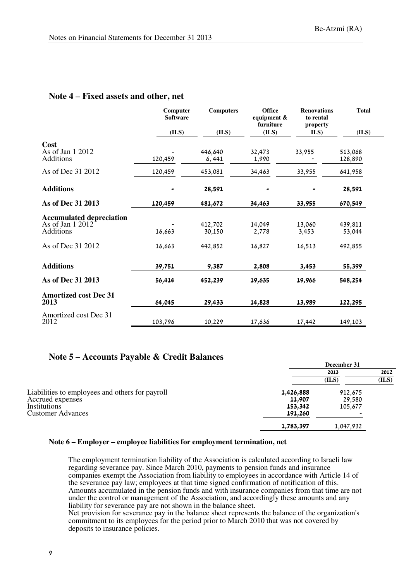### **Note 4 – Fixed assets and other, net**

|                                                                  | Computer<br><b>Software</b> | <b>Computers</b>  | <b>Office</b><br>equipment &<br>furniture | <b>Renovations</b><br>to rental<br>property | <b>Total</b>       |
|------------------------------------------------------------------|-----------------------------|-------------------|-------------------------------------------|---------------------------------------------|--------------------|
|                                                                  | (ILS)                       | (ILS)             | (ILS)                                     | ILS)                                        | (ILS)              |
| Cost<br>As of Jan 1 2012<br>Additions                            | 120,459                     | 446,640<br>6, 441 | 32,473<br>1,990                           | 33,955                                      | 513,068<br>128,890 |
| As of Dec 31 2012                                                | 120,459                     | 453,081           | 34,463                                    | 33,955                                      | 641,958            |
| <b>Additions</b>                                                 |                             | 28,591            |                                           |                                             | 28,591             |
| As of Dec 31 2013                                                | 120,459                     | 481,672           | 34,463                                    | 33,955                                      | 670,549            |
| <b>Accumulated depreciation</b><br>As of Jan 1 2012<br>Additions | 16,663                      | 412.702<br>30,150 | 14,049<br>2,778                           | 13,060<br>3,453                             | 439,811<br>53,044  |
| As of Dec 31 2012                                                | 16,663                      | 442,852           | 16,827                                    | 16,513                                      | 492,855            |
| <b>Additions</b>                                                 | 39,751                      | 9,387             | 2,808                                     | 3,453                                       | 55,399             |
| As of Dec 31 2013                                                | 56,414                      | 452,239           | 19,635                                    | 19,966                                      | 548,254            |
| <b>Amortized cost Dec 31</b><br>2013                             | 64,045                      | 29,433            | 14,828                                    | 13,989                                      | 122,295            |
| Amortized cost Dec 31<br>2012                                    | 103,796                     | 10,229            | 17,636                                    | 17,442                                      | 149,103            |

## **Note 5 – Accounts Payable & Credit Balances**

|                                                 |           | December 31 |       |  |
|-------------------------------------------------|-----------|-------------|-------|--|
|                                                 |           | 2013        | 2012  |  |
|                                                 |           | (ILS)       | (ILS) |  |
| Liabilities to employees and others for payroll | 1,426,888 | 912,675     |       |  |
| Accrued expenses                                | 11,907    | 29.580      |       |  |
| Institutions                                    | 153,342   | 105.677     |       |  |
| <b>Customer Advances</b>                        | 191,260   |             |       |  |
|                                                 | 1,783,397 | 1,047,932   |       |  |

### **Note 6 – Employer – employee liabilities for employment termination, net**

The employment termination liability of the Association is calculated according to Israeli law regarding severance pay. Since March 2010, payments to pension funds and insurance companies exempt the Association from liability to employees in accordance with Article 14 of the severance pay law; employees at that time signed confirmation of notification of this. Amounts accumulated in the pension funds and with insurance companies from that time are not under the control or management of the Association, and accordingly these amounts and any liability for severance pay are not shown in the balance sheet.

Net provision for severance pay in the balance sheet represents the balance of the organization's commitment to its employees for the period prior to March 2010 that was not covered by deposits to insurance policies.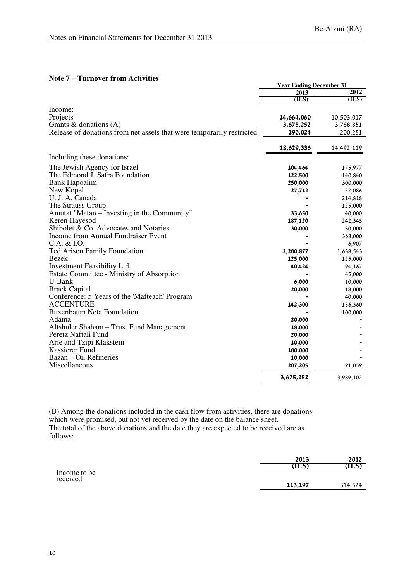|                                                                       | <b>Year Ending December 31</b> |            |
|-----------------------------------------------------------------------|--------------------------------|------------|
|                                                                       | 2013                           | 2012       |
|                                                                       | (ILS)                          | (ILS)      |
| Income:                                                               |                                |            |
| Projects                                                              | 14,664,060                     | 10,503,017 |
| Grants & donations $(A)$                                              | 3,675,252                      | 3,788,851  |
| Release of donations from net assets that were temporarily restricted | 290,024                        | 200,251    |
|                                                                       | 18,629,336                     | 14,492,119 |
| Including these donations:                                            |                                |            |
| The Jewish Agency for Israel                                          | 104,464                        | 175,977    |
| The Edmond J. Safra Foundation                                        | 122,500                        | 140,840    |
| <b>Bank Hapoalim</b>                                                  | 250,000                        | 300,000    |
| New Kopel                                                             | 27,712                         | 27,086     |
| U. J. A. Canada                                                       |                                | 214,818    |
| The Strauss Group                                                     |                                | 125,000    |
| Amutat "Matan – Investing in the Community"                           | 33,650                         | 40,000     |
| Keren Hayesod                                                         | 187,120                        | 242,345    |
| Shibolet & Co. Advocates and Notaries                                 | 30,000                         | 30,000     |
| Income from Annual Fundraiser Event                                   |                                | 368,000    |
| C.A. & I.O.                                                           |                                | 6,907      |
| <b>Ted Arison Family Foundation</b>                                   | 2,200,877                      | 1,638,543  |
| <b>Bezek</b>                                                          | 125,000                        | 125,000    |
| Investment Feasibility Ltd.                                           | 40,424                         | 94,167     |
| Estate Committee - Ministry of Absorption                             |                                | 45,000     |
| U-Bank                                                                | 6,000                          | 10,000     |
| <b>Brack Capital</b>                                                  | 20,000                         | 18,000     |
| Conference: 5 Years of the 'Mafteach' Program                         |                                | 40,000     |
| <b>ACCENTURE</b>                                                      | 142,300                        | 156,360    |
| <b>Buxenbaum Neta Foundation</b>                                      |                                | 100,000    |
| Adama                                                                 | 20,000                         |            |
| Altshuler Shaham - Trust Fund Management                              | 18,000                         |            |
| Peretz Naftali Fund                                                   | 20,000                         |            |
| Arie and Tzipi Klakstein                                              | 10,000                         |            |
| Kassierer Fund                                                        | 100,000                        |            |
| Bazan - Oil Refineries                                                | 10,000                         |            |
| Miscellaneous                                                         | 207,205                        | 91,059     |
|                                                                       | 3,675,252                      | 3,989,102  |

#### **Note 7 – Turnover from Activities**

(B) Among the donations included in the cash flow from activities, there are donations which were promised, but not yet received by the date on the balance sheet. The total of the above donations and the date they are expected to be received are as follows:

|                          | 2013    | 2012    |
|--------------------------|---------|---------|
|                          | ALS     | (ILS)   |
| Income to be<br>received | 113,197 | 314,524 |